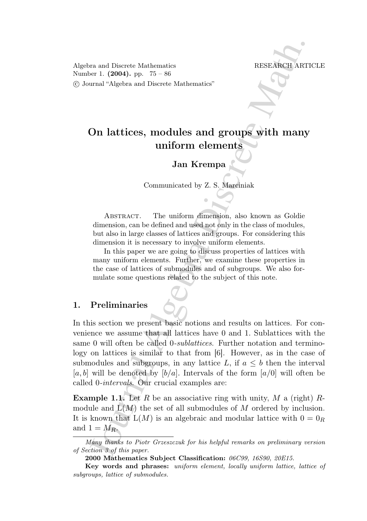Algebra and Discrete Mathematics RESEARCH ARTICLE Number 1. (2004). pp. 75 – 86 °c Journal "Algebra and Discrete Mathematics"

# On lattices, modules and groups with many uniform elements

Jan Krempa

Communicated by Z. S. Marciniak

Abstract. The uniform dimension, also known as Goldie dimension, can be defined and used not only in the class of modules, but also in large classes of lattices and groups. For considering this dimension it is necessary to involve uniform elements.

In this paper we are going to discuss properties of lattices with many uniform elements. Further, we examine these properties in the case of lattices of submodules and of subgroups. We also formulate some questions related to the subject of this note.

# 1. Preliminaries

For and Discrete Mathematics<br>
The VESEANCH ARTI<br>
The United States and Discrete Mathematics<br> **On lattices, modules and groups with many**<br> **On lattices, modules and groups with many**<br> **On lattices, modules and groups with** In this section we present basic notions and results on lattices. For convenience we assume that all lattices have 0 and 1. Sublattices with the same 0 will often be called 0-sublattices. Further notation and terminology on lattices is similar to that from [6]. However, as in the case of submodules and subgroups, in any lattice L, if  $a \leq b$  then the interval [a, b] will be denoted by [b/a]. Intervals of the form  $a/0$ ] will often be called 0-intervals. Our crucial examples are:

**Example 1.1.** Let R be an associative ring with unity, M a (right) Rmodule and  $L(M)$  the set of all submodules of M ordered by inclusion. It is known that  $L(M)$  is an algebraic and modular lattice with  $0 = 0_R$ and  $1 = M_R$ .

Many thanks to Piotr Grzeszczuk for his helpful remarks on preliminary version of Section 3 of this paper.

<sup>2000</sup> Mathematics Subject Classification: 06C99, 16S90, 20E15.

Key words and phrases: uniform element, locally uniform lattice, lattice of subgroups, lattice of submodules.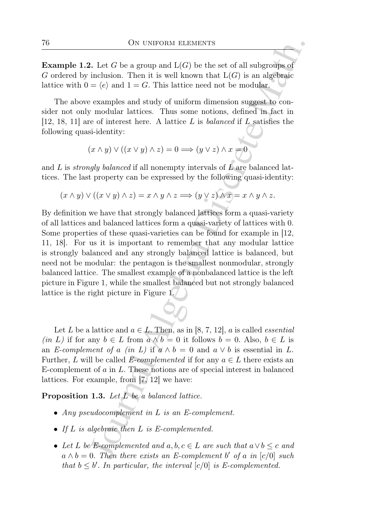**Example 1.2.** Let G be a group and  $L(G)$  be the set of all subgroups of G ordered by inclusion. Then it is well known that  $L(G)$  is an algebraic lattice with  $0 = \langle e \rangle$  and  $1 = G$ . This lattice need not be modular.

The above examples and study of uniform dimension suggest to consider not only modular lattices. Thus some notions, defined in fact in [12, 18, 11] are of interest here. A lattice  $L$  is balanced if  $L$  satisfies the following quasi-identity:

$$
(x\wedge y)\vee((x\vee y)\wedge z)=0\Longrightarrow (y\vee z)\wedge x=0
$$

and  $L$  is *strongly balanced* if all nonempty intervals of  $\overline{L}$  are balanced lattices. The last property can be expressed by the following quasi-identity:

$$
(x \wedge y) \vee ((x \vee y) \wedge z) = x \wedge y \wedge z \Longrightarrow (y \vee z) \wedge x = x \wedge y \wedge z.
$$

ON UNIFORM ELEMENTS<br>
2. Let *G* be a group and  $L(G)$  be the set of all subgroups of<br>
inclusion. Then it is well known that  $L(G)$  is an algebraic<br>  $= (c)$  and  $1 = G$ . This lattice need not be modular.<br>
e examples and study o By definition we have that strongly balanced lattices form a quasi-variety of all lattices and balanced lattices form a quasi-variety of lattices with 0. Some properties of these quasi-varieties can be found for example in [12, 11, 18]. For us it is important to remember that any modular lattice is strongly balanced and any strongly balanced lattice is balanced, but need not be modular: the pentagon is the smallest nonmodular, strongly balanced lattice. The smallest example of a nonbalanced lattice is the left picture in Figure 1, while the smallest balanced but not strongly balanced lattice is the right picture in Figure 1.

Let L be a lattice and  $a \in L$ . Then, as in [8, 7, 12], a is called *essential* (in L) if for any  $b \in L$  from  $a \wedge b = 0$  it follows  $b = 0$ . Also,  $b \in L$  is an E-complement of a (in L) if  $a \wedge b = 0$  and  $a \vee b$  is essential in L. Further, L will be called E-complemented if for any  $a \in L$  there exists an E-complement of a in L. These notions are of special interest in balanced lattices. For example, from [7, 12] we have:

Proposition 1.3. Let L be a balanced lattice.

- Any pseudocomplement in L is an E-complement.
- If  $L$  is algebraic then  $L$  is  $E$ -complemented.
- Let L be E-complemented and  $a, b, c \in L$  are such that  $a \vee b \leq c$  and  $a \wedge b = 0$ . Then there exists an E-complement b' of a in [c/0] such that  $b \leq b'$ . In particular, the interval  $[c/0]$  is E-complemented.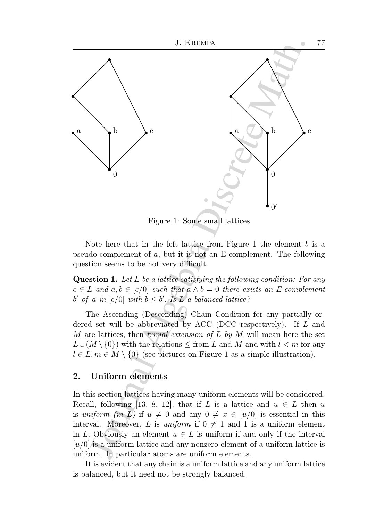

Figure 1: Some small lattices

Note here that in the left lattice from Figure 1 the element  $b$  is a pseudo-complement of a, but it is not an E-complement. The following question seems to be not very difficult.

Question 1. Let L be a lattice satisfying the following condition: For any  $c \in L$  and  $a, b \in [c/0]$  such that  $a \wedge b = 0$  there exists an E-complement b' of a in  $[c/0]$  with  $b \leq b'$ . Is L a balanced lattice?

The Ascending (Descending) Chain Condition for any partially ordered set will be abbreviated by ACC (DCC respectively). If  $L$  and M are lattices, then *trivial extension of L by M* will mean here the set  $L \cup (M \setminus \{0\})$  with the relations  $\leq$  from L and M and with  $l < m$  for any  $l \in L, m \in M \setminus \{0\}$  (see pictures on Figure 1 as a simple illustration).

## 2. Uniform elements

In this section lattices having many uniform elements will be considered. Recall, following [13, 8, 12], that if L is a lattice and  $u \in L$  then u is uniform (in L) if  $u \neq 0$  and any  $0 \neq x \in [u/0]$  is essential in this interval. Moreover, L is uniform if  $0 \neq 1$  and 1 is a uniform element in L. Obviously an element  $u \in L$  is uniform if and only if the interval  $[u/0]$  is a uniform lattice and any nonzero element of a uniform lattice is uniform. In particular atoms are uniform elements.

It is evident that any chain is a uniform lattice and any uniform lattice is balanced, but it need not be strongly balanced.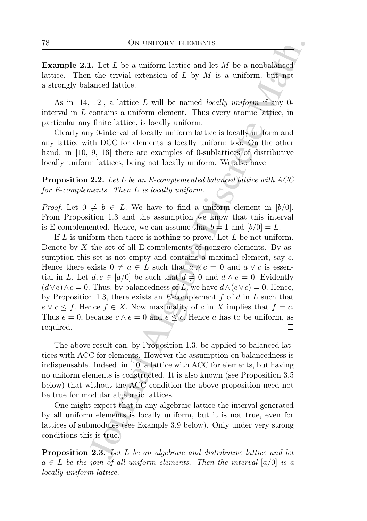**Example 2.1.** Let  $L$  be a uniform lattice and let  $M$  be a nonbalanced lattice. Then the trivial extension of  $L$  by  $M$  is a uniform, but not a strongly balanced lattice.

As in  $[14, 12]$ , a lattice L will be named locally uniform if any 0interval in L contains a uniform element. Thus every atomic lattice, in particular any finite lattice, is locally uniform.

Clearly any 0-interval of locally uniform lattice is locally uniform and any lattice with DCC for elements is locally uniform too. On the other hand, in [10, 9, 16] there are examples of 0-sublattices of distributive locally uniform lattices, being not locally uniform. We also have

**Proposition 2.2.** Let L be an E-complemented balanced lattice with ACC for E-complements. Then L is locally uniform.

*Proof.* Let  $0 \neq b \in L$ . We have to find a uniform element in [b/0]. From Proposition 1.3 and the assumption we know that this interval is E-complemented. Hence, we can assume that  $b = 1$  and  $[b/0] = L$ .

ON UNIFORM ELEMENTS<br>
1. Let L be a uniform lattice and let M be a nonbalanced<br>
1. Let Livial extension of L by M is a uniform, but not<br>
almocd lattice.<br>
12], a lattice L will be named locally uniform if any 0-<br>
12], a lat If  $L$  is uniform then there is nothing to prove. Let  $L$  be not uniform. Denote by  $X$  the set of all E-complements of nonzero elements. By assumption this set is not empty and contains a maximal element, say c. Hence there exists  $0 \neq a \in L$  such that  $a \wedge c = 0$  and  $a \vee c$  is essential in L. Let  $d, e \in [a/0]$  be such that  $d \neq 0$  and  $d \wedge e = 0$ . Evidently  $(d \vee e) \wedge c = 0$ . Thus, by balancedness of L, we have  $d \wedge (e \vee c) = 0$ . Hence, by Proposition 1.3, there exists an E-complement  $f$  of  $d$  in  $L$  such that  $e \vee c \leq f$ . Hence  $f \in X$ . Now maximality of c in X implies that  $f = c$ . Thus  $e = 0$ , because  $c \wedge e = 0$  and  $e \leq c$ . Hence a has to be uniform, as required.

The above result can, by Proposition 1.3, be applied to balanced lattices with ACC for elements. However the assumption on balancedness is indispensable. Indeed, in [10] a lattice with ACC for elements, but having no uniform elements is constructed. It is also known (see Proposition 3.5 below) that without the ACC condition the above proposition need not be true for modular algebraic lattices.

One might expect that in any algebraic lattice the interval generated by all uniform elements is locally uniform, but it is not true, even for lattices of submodules (see Example 3.9 below). Only under very strong conditions this is true.

Proposition 2.3. Let L be an algebraic and distributive lattice and let  $a \in L$  be the join of all uniform elements. Then the interval  $[a/0]$  is a locally uniform lattice.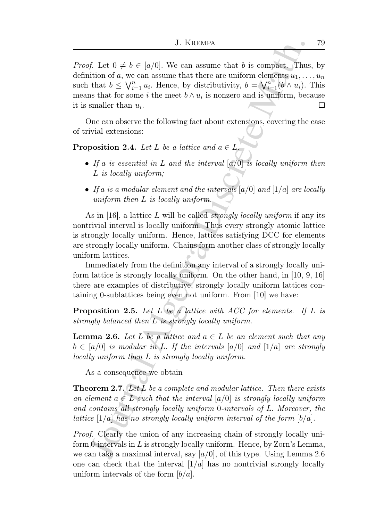J. KIEEMIX<br>
J. KIEEMIX<br>
f. Let  $0 \neq b \in [a/0]$ . We can assume that b is compact. Thus<br>
ition of a, we can assume that there are uniform denoted by  $a_1, \ldots, b_k$ <br>
that  $b \leq \sqrt{r_{-1}} u_i$ . Hence, by distributivity,  $b = \sqrt{r_{-1}} ($ *Proof.* Let  $0 \neq b \in [a/0]$ . We can assume that b is compact. Thus, by definition of a, we can assume that there are uniform elements  $u_1, \ldots, u_n$ such that  $b \leq \bigvee_{i=1}^{n} u_i$ . Hence, by distributivity,  $b = \bigvee_{i=1}^{n} (b \wedge u_i)$ . This means that for some i the meet  $b \wedge u_i$  is nonzero and is uniform, because it is smaller than  $u_i$ .  $\Box$ 

One can observe the following fact about extensions, covering the case of trivial extensions:

**Proposition 2.4.** Let L be a lattice and  $a \in L$ .

- If a is essential in L and the interval  $[a/0]$  is locally uniform then L is locally uniform;
- If a is a modular element and the intervals  $[a/0]$  and  $[1/a]$  are locally uniform then L is locally uniform.

As in [16], a lattice L will be called *strongly locally uniform* if any its nontrivial interval is locally uniform. Thus every strongly atomic lattice is strongly locally uniform. Hence, lattices satisfying DCC for elements are strongly locally uniform. Chains form another class of strongly locally uniform lattices.

Immediately from the definition any interval of a strongly locally uniform lattice is strongly locally uniform. On the other hand, in [10, 9, 16] there are examples of distributive, strongly locally uniform lattices containing 0-sublattices being even not uniform. From [10] we have:

**Proposition 2.5.** Let L be a lattice with ACC for elements. If L is strongly balanced then L is strongly locally uniform.

**Lemma 2.6.** Let L be a lattice and  $a \in L$  be an element such that any  $b \in [a/0]$  is modular in L. If the intervals  $[a/0]$  and  $[1/a]$  are strongly locally uniform then L is strongly locally uniform.

As a consequence we obtain

**Theorem 2.7.** Let L be a complete and modular lattice. Then there exists an element  $a \in L$  such that the interval  $a/0$  is strongly locally uniform and contains all strongly locally uniform 0-intervals of L. Moreover, the lattice  $[1/a]$  has no strongly locally uniform interval of the form  $[b/a]$ .

Proof. Clearly the union of any increasing chain of strongly locally uniform 0-intervals in  $L$  is strongly locally uniform. Hence, by Zorn's Lemma, we can take a maximal interval, say  $\left[\frac{a}{0}\right]$ , of this type. Using Lemma 2.6 one can check that the interval  $\lfloor 1/a \rfloor$  has no nontrivial strongly locally uniform intervals of the form  $\lfloor b/a \rfloor$ .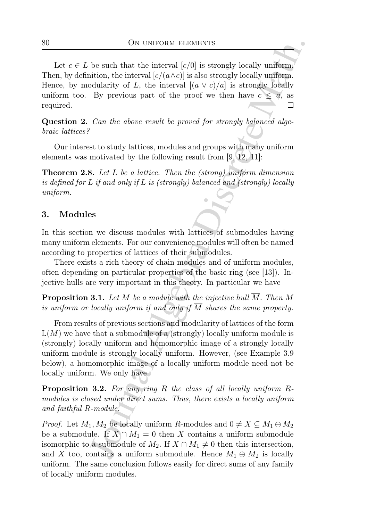Let  $c \in L$  be such that the interval  $[c/0]$  is strongly locally uniform. Then, by definition, the interval  $[c/(a \wedge c)]$  is also strongly locally uniform. Hence, by modularity of L, the interval  $[(a \vee c)/a]$  is strongly locally uniform too. By previous part of the proof we then have  $c \leq a$ , as required.

Question 2. Can the above result be proved for strongly balanced algebraic lattices?

Our interest to study lattices, modules and groups with many uniform elements was motivated by the following result from [9, 12, 11]:

Theorem 2.8. Let L be a lattice. Then the (strong) uniform dimension is defined for L if and only if L is (strongly) balanced and (strongly) locally uniform.

## 3. Modules

In this section we discuss modules with lattices of submodules having many uniform elements. For our convenience modules will often be named according to properties of lattices of their submodules.

There exists a rich theory of chain modules and of uniform modules, often depending on particular properties of the basic ring (see [13]). Injective hulls are very important in this theory. In particular we have

**Proposition 3.1.** Let M be a module with the injective hull  $\overline{M}$ . Then M is uniform or locally uniform if and only if  $\overline{M}$  shares the same property.

ON UNIFORM ELEMENTS<br>
be such that the interval  $[c/d]$  is strongly locally uniform,<br>
initial, the interval  $[c/d]$  is also strongly locally uniform,<br>
initial, the interval  $[c/d + c)'/d$  is strongly locally<br>
By previous part of th From results of previous sections and modularity of lattices of the form  $L(M)$  we have that a submodule of a (strongly) locally uniform module is (strongly) locally uniform and homomorphic image of a strongly locally uniform module is strongly locally uniform. However, (see Example 3.9 below), a homomorphic image of a locally uniform module need not be locally uniform. We only have

Proposition 3.2. For any ring R the class of all locally uniform Rmodules is closed under direct sums. Thus, there exists a locally uniform and faithful R-module.

*Proof.* Let  $M_1, M_2$  be locally uniform R-modules and  $0 \neq X \subseteq M_1 \oplus M_2$ be a submodule. If  $X \cap M_1 = 0$  then X contains a uniform submodule isomorphic to a submodule of  $M_2$ . If  $X \cap M_1 \neq 0$  then this intersection, and X too, contains a uniform submodule. Hence  $M_1 \oplus M_2$  is locally uniform. The same conclusion follows easily for direct sums of any family of locally uniform modules.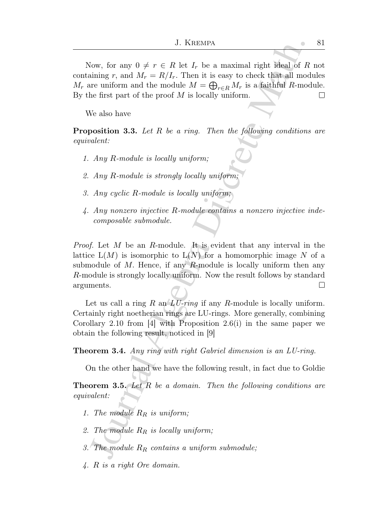Now, for any  $0 \neq r \in R$  let  $I_r$  be a maximal right ideal of R not containing r, and  $M_r = R/I_r$ . Then it is easy to check that all modules  $M_r$  are uniform and the module  $M = \bigoplus_{r \in R} M_r$  is a faithful R-module. By the first part of the proof  $M$  is locally uniform. □

We also have

**Proposition 3.3.** Let R be a ring. Then the following conditions are equivalent:

- 1. Any R-module is locally uniform;
- 2. Any R-module is strongly locally uniform;
- 3. Any cyclic R-module is locally uniform;
- 4. Any nonzero injective R-module contains a nonzero injective indecomposable submodule.

J. KIEBMIN<br>
J. KIEBMIN<br>
Haming r, and  $M_r = R/r/r$ . Then it is easy to check that all model<br>
minimg r, and  $M_r = R/r/r$ . Then it is easy to check that all model<br>
the first part of the proof  $M$  is locally uniform.<br>
We also have<br> Proof. Let M be an R-module. It is evident that any interval in the lattice  $L(M)$  is isomorphic to  $L(N)$  for a homomorphic image N of a submodule of  $M$ . Hence, if any  $R$ -module is locally uniform then any R-module is strongly locally uniform. Now the result follows by standard arguments. □

Let us call a ring R an  $LU\text{-}ring$  if any R-module is locally uniform. Certainly right noetherian rings are LU-rings. More generally, combining Corollary 2.10 from [4] with Proposition 2.6(i) in the same paper we obtain the following result, noticed in [9]

Theorem 3.4. Any ring with right Gabriel dimension is an LU-ring.

On the other hand we have the following result, in fact due to Goldie

**Theorem 3.5.** Let  $R$  be a domain. Then the following conditions are equivalent:

- 1. The module  $R_R$  is uniform;
- 2. The module  $R_R$  is locally uniform;
- 3. The module  $R_R$  contains a uniform submodule;
- 4. R is a right Ore domain.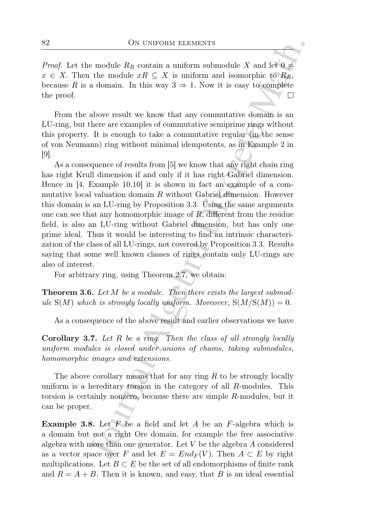*Proof.* Let the module  $R_R$  contain a uniform submodule X and let  $0 \neq$  $x \in X$ . Then the module  $xR \subseteq X$  is uniform and isomorphic to  $R_R$ , because R is a domain. In this way  $3 \Rightarrow 1$ . Now it is easy to complete the proof.

From the above result we know that any commutative domain is an LU-ring, but there are examples of commutative semiprime rings without this property. It is enough to take a commutative regular (in the sense of von Neumann) ring without minimal idempotents, as in Example 2 in [9].

ON UNIFORM ELEMENTS<br>
are module  $R_R$  contain a uniform submodule X and let  $0 \neq$ <br>
the module  $xR \subseteq X$  is uniform submodule X and let  $0 \neq$ <br>
a domain. In this way  $3 \Rightarrow 1$ . Now it is easy to complete<br>
a domain. In this way As a consequence of results from [5] we know that any right chain ring has right Krull dimension if and only if it has right Gabriel dimension. Hence in [4, Example 10,10] it is shown in fact an example of a commutative local valuation domain R without Gabriel dimension. However this domain is an LU-ring by Proposition 3.3. Using the same arguments one can see that any homomorphic image of  $R$ , different from the residue field, is also an LU-ring without Gabriel dimension, but has only one prime ideal. Thus it would be interesting to find an intrinsic characterization of the class of all LU-rings, not covered by Proposition 3.3. Results saying that some well known classes of rings contain only LU-rings are also of interest.

For arbitrary ring, using Theorem 2.7, we obtain:

**Theorem 3.6.** Let M be a module. Then there exists the largest submodule  $S(M)$  which is strongly locally uniform. Moreover,  $S(M/S(M)) = 0$ .

As a consequence of the above result and earlier observations we have

Corollary 3.7. Let R be a ring. Then the class of all strongly locally uniform modules is closed under unions of chains, taking submodules, homomorphic images and extensions.

The above corollary means that for any ring  $R$  to be strongly locally uniform is a hereditary torsion in the category of all R-modules. This torsion is certainly nonzero, because there are simple R-modules, but it can be proper.

**Example 3.8.** Let  $F$  be a field and let  $A$  be an  $F$ -algebra which is a domain but not a right Ore domain, for example the free associative algebra with more than one generator. Let  $V$  be the algebra  $A$  considered as a vector space over F and let  $E = End_F(V)$ . Then  $A \subset E$  by right multiplications. Let  $B \subset E$  be the set of all endomorphisms of finite rank and  $R = A + B$ . Then it is known, and easy, that B is an ideal essential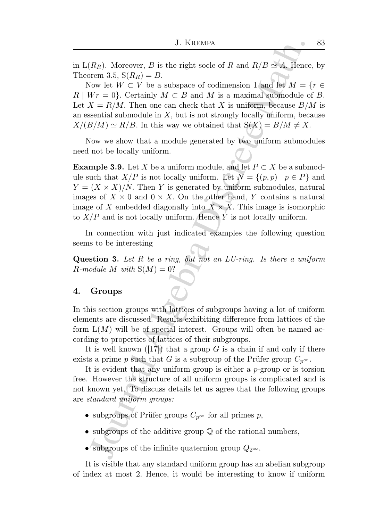in  $L(R_R)$ . Moreover, B is the right socle of R and  $R/B \simeq A$ . Hence, by Theorem 3.5,  $S(R_R) = B$ .

Now let  $W \subset V$  be a subspace of codimension 1 and let  $M = \{r \in V\}$  $R \mid Wr = 0$ . Certainly  $M \subset B$  and M is a maximal submodule of B. Let  $X = R/M$ . Then one can check that X is uniform, because  $B/M$  is an essential submodule in  $X$ , but is not strongly locally uniform, because  $X/(B/M) \simeq R/B$ . In this way we obtained that  $S(X) = B/M \neq X$ .

Now we show that a module generated by two uniform submodules need not be locally uniform.

J. KIEEMIX<br>
J. KIEEMIX<br>  $R_R$ ). Moreover, *B* is the right socle of *R* and  $R/B \simeq 4$ . Hence<br>
rem 3.5, S( $R_R$ ) = *B*.<br>
Gow let  $W \subset V$  be a subspace of codimension 1 and let  $M = \{Wr = 0\}$ . Certainly  $M \subset B$  and  $M$  is a maxi **Example 3.9.** Let X be a uniform module, and let  $P \subset X$  be a submodule such that  $X/P$  is not locally uniform. Let  $N = \{(p, p) | p \in P\}$  and  $Y = (X \times X)/N$ . Then Y is generated by uniform submodules, natural images of  $X \times 0$  and  $0 \times X$ . On the other hand, Y contains a natural image of X embedded diagonally into  $X \times X$ . This image is isomorphic to  $X/P$  and is not locally uniform. Hence Y is not locally uniform.

In connection with just indicated examples the following question seems to be interesting

**Question 3.** Let  $R$  be a ring, but not an  $LU$ -ring. Is there a uniform  $R$ -module M with  $S(M) = 0$ ?

## 4. Groups

In this section groups with lattices of subgroups having a lot of uniform elements are discussed. Results exhibiting difference from lattices of the form  $L(M)$  will be of special interest. Groups will often be named according to properties of lattices of their subgroups.

It is well known  $(17)$  that a group G is a chain if and only if there exists a prime p such that G is a subgroup of the Prüfer group  $C_{p^{\infty}}$ .

It is evident that any uniform group is either a  $p$ -group or is torsion free. However the structure of all uniform groups is complicated and is not known yet. To discuss details let us agree that the following groups are standard uniform groups:

- subgroups of Prüfer groups  $C_{p^{\infty}}$  for all primes p,
- subgroups of the additive group  $\mathbb Q$  of the rational numbers,
- subgroups of the infinite quaternion group  $Q_{2^{\infty}}$ .

It is visible that any standard uniform group has an abelian subgroup of index at most 2. Hence, it would be interesting to know if uniform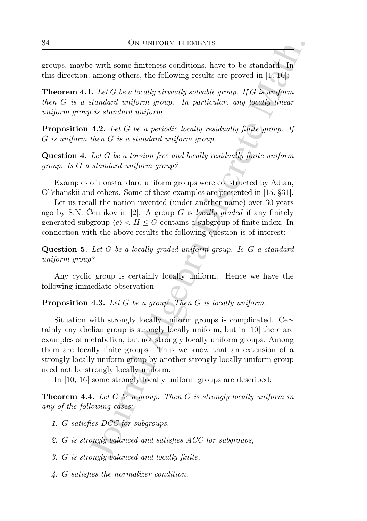groups, maybe with some finiteness conditions, have to be standard. In this direction, among others, the following results are proved in [1, 10]:

**Theorem 4.1.** Let G be a locally virtually solvable group. If G is uniform then G is a standard uniform group. In particular, any locally linear uniform group is standard uniform.

**Proposition 4.2.** Let G be a periodic locally residually finite group. If G is uniform then G is a standard uniform group.

Question 4. Let G be a torsion free and locally residually finite uniform group. Is G a standard uniform group?

Examples of nonstandard uniform groups were constructed by Adian, Ol'shanskii and others. Some of these examples are presented in [15, §31].

Let us recall the notion invented (under another name) over 30 years ago by S.N. Cernikov in [2]: A group G is locally graded if any finitely generated subgroup  $\langle e \rangle < H \leq G$  contains a subgroup of finite index. In connection with the above results the following question is of interest:

Question 5. Let G be a locally graded uniform group. Is G a standard uniform group?

Any cyclic group is certainly locally uniform. Hence we have the following immediate observation

Proposition 4.3. Let G be a group. Then G is locally uniform.

ON UNIFORM ELEMENTS<br>
with some finiteness conditions, have to be standard. In<br>
among others, the following results are proved in [1, 16]:<br>
Let  $G$  be a locally virtually solvable group. If  $G$  is a<br>
Let  $G$  be a locally v Situation with strongly locally uniform groups is complicated. Certainly any abelian group is strongly locally uniform, but in [10] there are examples of metabelian, but not strongly locally uniform groups. Among them are locally finite groups. Thus we know that an extension of a strongly locally uniform group by another strongly locally uniform group need not be strongly locally uniform.

In [10, 16] some strongly locally uniform groups are described:

Theorem 4.4. Let G be a group. Then G is strongly locally uniform in any of the following cases:

- 1. G satisfies DCC for subgroups,
- 2. G is strongly balanced and satisfies ACC for subgroups,
- 3. G is strongly balanced and locally finite,
- 4. G satisfies the normalizer condition,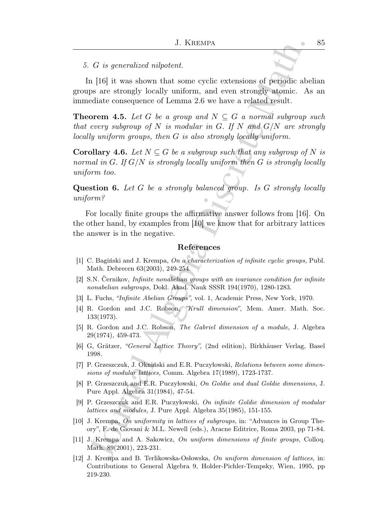#### 5. G is generalized nilpotent.

In [16] it was shown that some cyclic extensions of periodic abelian groups are strongly locally uniform, and even strongly atomic. As an immediate consequence of Lemma 2.6 we have a related result.

J. KIEEMIX<br> *G* is generalized nilpotent.<br>
If  $B$  it was shown that some cyclic extensions of periodic abea are strongly chemic. As<br>
dediate consequence of Lemma 2.6 we have a related result. As<br>
dediate consequence of Le **Theorem 4.5.** Let G be a group and  $N \subseteq G$  a normal subgroup such that every subgroup of N is modular in G. If N and  $G/N$  are strongly locally uniform groups, then G is also strongly locally uniform.

**Corollary 4.6.** Let  $N \subseteq G$  be a subgroup such that any subgroup of N is normal in G. If  $G/N$  is strongly locally uniform then G is strongly locally uniform too.

Question 6. Let G be a strongly balanced group. Is G strongly locally uniform?

For locally finite groups the affirmative answer follows from [16]. On the other hand, by examples from [10] we know that for arbitrary lattices the answer is in the negative.

#### References

- [1] C. Baginski and J. Krempa, On a characterization of infinite cyclic groups, Publ. Math. Debrecen 63(2003), 249-254.
- $[2]$  S.N. Cernikov, *Infinite nonabelian groups with an ivariance condition for infinite* nonabelian subgroups, Dokl. Akad. Nauk SSSR 194(1970), 1280-1283.
- [3] L. Fuchs, "Infinite Abelian Groups", vol. 1, Academic Press, New York, 1970.
- [4] R. Gordon and J.C. Robson, "Krull dimension", Mem. Amer. Math. Soc. 133(1973).
- [5] R. Gordon and J.C. Robson, The Gabriel dimension of a module, J. Algebra 29(1974), 459-473.
- [6] G, Grätzer, "General Lattice Theory", (2nd edition), Birkhäuser Verlag, Basel 1998.
- [7] P. Grzeszczuk, J. Okniński and E.R. Puczyłowski, Relations between some dimensions of modular lattices, Comm. Algebra 17(1989), 1723-1737.
- [8] P. Grzeszczuk and E.R. Puczyłowski, On Goldie and dual Goldie dimensions, J. Pure Appl. Algebra 31(1984), 47-54.
- [9] P. Grzeszczuk and E.R. Puczyłowski, On infinite Goldie dimension of modular lattices and modules, J. Pure Appl. Algebra 35(1985), 151-155.
- [10] J. Krempa, On uniformity in lattices of subgroups, in: "Advances in Group Theory", F. de Giovani & M.L. Newell (eds.), Aracne Editrice, Roma 2003, pp 71-84.
- [11] J. Krempa and A. Sakowicz, On uniform dimensions of finite groups, Colloq. Math. 89(2001), 223-231.
- [12] J. Krempa and B. Terlikowska-Osłowska, On uniform dimension of lattices, in: Contributions to General Algebra 9, Holder-Pichler-Tempsky, Wien, 1995, pp 219-230.